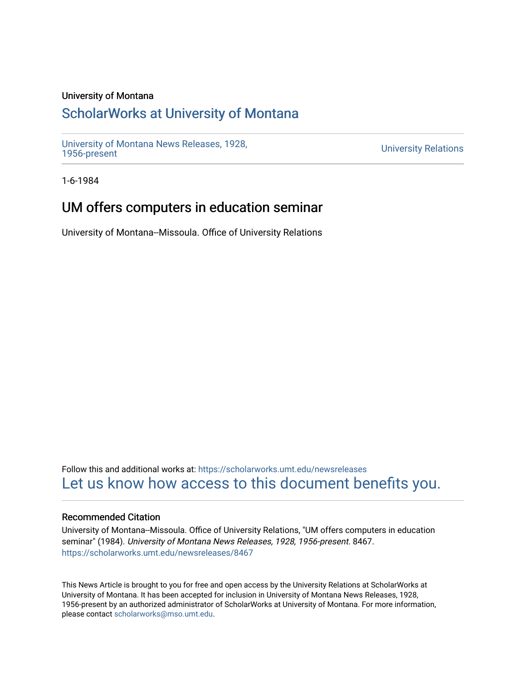### University of Montana

# [ScholarWorks at University of Montana](https://scholarworks.umt.edu/)

[University of Montana News Releases, 1928,](https://scholarworks.umt.edu/newsreleases) 

**University Relations** 

1-6-1984

# UM offers computers in education seminar

University of Montana--Missoula. Office of University Relations

Follow this and additional works at: [https://scholarworks.umt.edu/newsreleases](https://scholarworks.umt.edu/newsreleases?utm_source=scholarworks.umt.edu%2Fnewsreleases%2F8467&utm_medium=PDF&utm_campaign=PDFCoverPages) [Let us know how access to this document benefits you.](https://goo.gl/forms/s2rGfXOLzz71qgsB2) 

### Recommended Citation

University of Montana--Missoula. Office of University Relations, "UM offers computers in education seminar" (1984). University of Montana News Releases, 1928, 1956-present. 8467. [https://scholarworks.umt.edu/newsreleases/8467](https://scholarworks.umt.edu/newsreleases/8467?utm_source=scholarworks.umt.edu%2Fnewsreleases%2F8467&utm_medium=PDF&utm_campaign=PDFCoverPages) 

This News Article is brought to you for free and open access by the University Relations at ScholarWorks at University of Montana. It has been accepted for inclusion in University of Montana News Releases, 1928, 1956-present by an authorized administrator of ScholarWorks at University of Montana. For more information, please contact [scholarworks@mso.umt.edu.](mailto:scholarworks@mso.umt.edu)